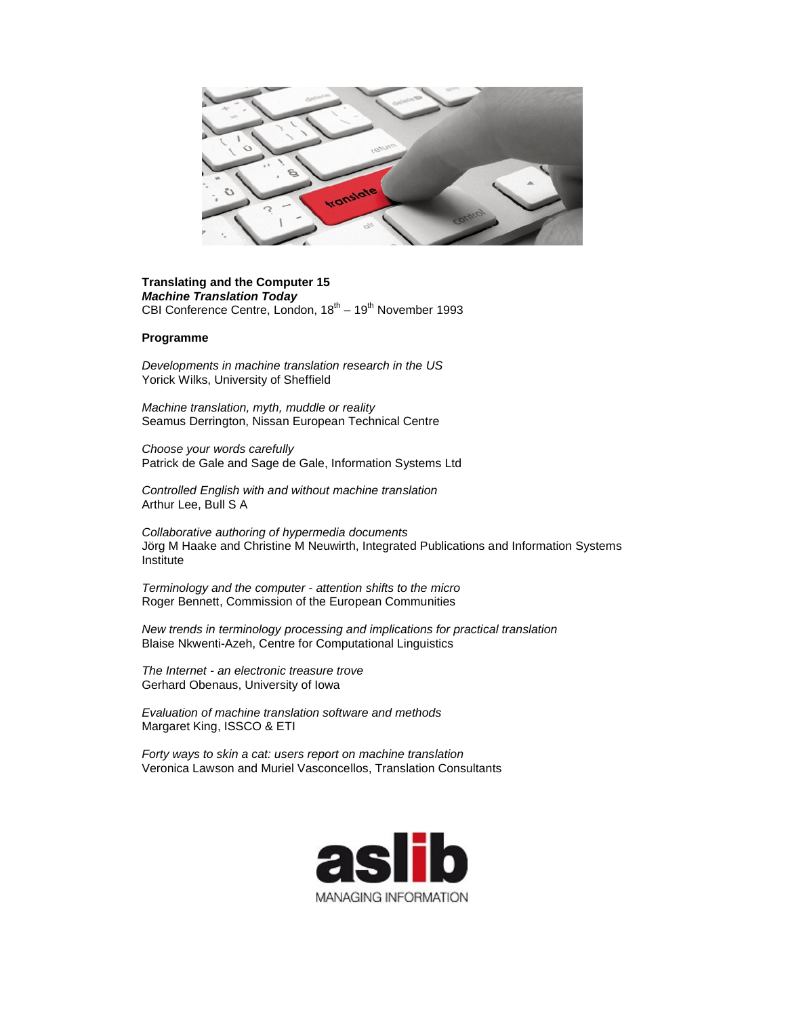

## **Translating and the Computer 15** *Machine Translation Today* CBI Conference Centre, London,  $18^{th} - 19^{th}$  November 1993

## **Programme**

*Developments in machine translation research in the US*  Yorick Wilks, University of Sheffield

*Machine translation, myth, muddle or reality*  Seamus Derrington, Nissan European Technical Centre

*Choose your words carefully*  Patrick de Gale and Sage de Gale, Information Systems Ltd

*Controlled English with and without machine translation* Arthur Lee, Bull S A

*Collaborative authoring of hypermedia documents*  Jörg M Haake and Christine M Neuwirth, Integrated Publications and Information Systems Institute

*Terminology and the computer - attention shifts to the micro*  Roger Bennett, Commission of the European Communities

*New trends in terminology processing and implications for practical translation*  Blaise Nkwenti-Azeh, Centre for Computational Linguistics

*The Internet - an electronic treasure trove*  Gerhard Obenaus, University of Iowa

*Evaluation of machine translation software and methods*  Margaret King, ISSCO & ETI

*Forty ways to skin a cat: users report on machine translation*  Veronica Lawson and Muriel Vasconcellos, Translation Consultants